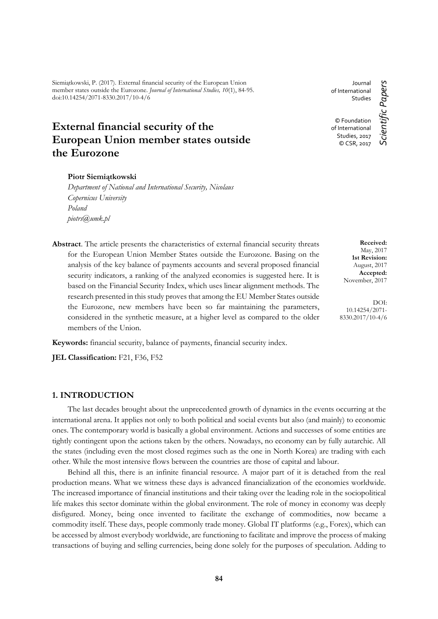Siemiątkowski, P. (2017). External financial security of the European Union member states outside the Eurozone. *Journal of International Studies, 10*(1), 84-95. doi:10.14254/2071-8330.2017/10-4/6

# **External financial security of the European Union member states outside the Eurozone**

#### **Piotr Siemiątkowski**

*Department of National and International Security, Nicolaus Copernicus University Poland piotrs@umk.pl*

**Abstract**. The article presents the characteristics of external financial security threats for the European Union Member States outside the Eurozone. Basing on the analysis of the key balance of payments accounts and several proposed financial security indicators, a ranking of the analyzed economies is suggested here. It is based on the Financial Security Index, which uses linear alignment methods. The research presented in this study proves that among the EU Member States outside the Eurozone, new members have been so far maintaining the parameters, considered in the synthetic measure, at a higher level as compared to the older members of the Union.

**Keywords:** financial security, balance of payments, financial security index.

**JEL Classification:** F21, F36, F52

## **1. INTRODUCTION**

The last decades brought about the unprecedented growth of dynamics in the events occurring at the international arena. It applies not only to both political and social events but also (and mainly) to economic ones. The contemporary world is basically a global environment. Actions and successes of some entities are tightly contingent upon the actions taken by the others. Nowadays, no economy can by fully autarchic. All the states (including even the most closed regimes such as the one in North Korea) are trading with each other. While the most intensive flows between the countries are those of capital and labour.

Behind all this, there is an infinite financial resource. A major part of it is detached from the real production means. What we witness these days is advanced financialization of the economies worldwide. The increased importance of financial institutions and their taking over the leading role in the sociopolitical life makes this sector dominate within the global environment. The role of money in economy was deeply disfigured. Money, being once invented to facilitate the exchange of commodities, now became a commodity itself. These days, people commonly trade money. Global IT platforms (e.g., Forex), which can be accessed by almost everybody worldwide, are functioning to facilitate and improve the process of making transactions of buying and selling currencies, being done solely for the purposes of speculation. Adding to

Journal of International Studies © Foundation of International Studies, 2017 © CSR, 2017

Scientific Papers *Scientific Papers*

**Received:** May, 2017 **1st Revision:** August, 2017 **Accepted:** November, 2017

DOI: 10.14254/2071- 8330.2017/10-4/6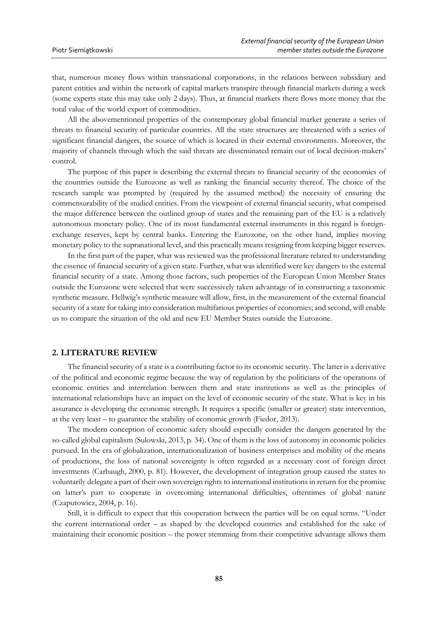that, numerous money flows within transnational corporations, in the relations between subsidiary and parent entities and within the network of capital markets transpire through financial markets during a week (some experts state this may take only 2 days). Thus, at financial markets there flows more money that the total value of the world export of commodities.

All the abovementioned properties of the contemporary global financial market generate a series of threats to financial security of particular countries. All the state structures are threatened with a series of significant financial dangers, the source of which is located in their external environments. Moreover, the majority of channels through which the said threats are disseminated remain out of local decision-makers' control.

The purpose of this paper is describing the external threats to financial security of the economies of the countries outside the Eurozone as well as ranking the financial security thereof. The choice of the research sample was prompted by (required by the assumed method) the necessity of ensuring the commensurability of the studied entities. From the viewpoint of external financial security, what comprised the major difference between the outlined group of states and the remaining part of the EU is a relatively autonomous monetary policy. One of its most fundamental external instruments in this regard is foreignexchange reserves, kept by central banks. Entering the Eurozone, on the other hand, implies moving monetary policy to the supranational level, and this practically means resigning from keeping bigger reserves.

In the first part of the paper, what was reviewed was the professional literature related to understanding the essence of financial security of a given state. Further, what was identified were key dangers to the external financial security of a state. Among those factors, such properties of the European Union Member States outside the Eurozone were selected that were successively taken advantage of in constructing a taxonomic synthetic measure. Hellwig's synthetic measure will allow, first, in the measurement of the external financial security of a state for taking into consideration multifarious properties of economies; and second, will enable us to compare the situation of the old and new EU Member States outside the Eurozone.

#### **2. LITERATURE REVIEW**

The financial security of a state is a contributing factor to its economic security. The latter is a derivative of the political and economic regime because the way of regulation by the politicians of the operations of economic entities and interrelation between them and state institutions as well as the principles of international relationships have an impact on the level of economic security of the state. What is key in his assurance is developing the economic strength. It requires a specific (smaller or greater) state intervention, at the very least – to guarantee the stability of economic growth (Fiedor, 2013).

The modern conception of economic safety should especially consider the dangers generated by the so-called global capitalism (Sulowski, 2013, p. 34). One of them is the loss of autonomy in economic policies pursued. In the era of globalization, internationalization of business enterprises and mobility of the means of productions, the loss of national sovereignty is often regarded as a necessary cost of foreign direct investments (Carbaugh, 2000, p. 81). However, the development of integration group caused the states to voluntarily delegate a part of their own sovereign rights to international institutions in return for the promise on latter's part to cooperate in overcoming international difficulties, oftentimes of global nature (Czaputowicz, 2004, p. 16).

Still, it is difficult to expect that this cooperation between the parties will be on equal terms. "Under the current international order – as shaped by the developed countries and established for the sake of maintaining their economic position – the power stemming from their competitive advantage allows them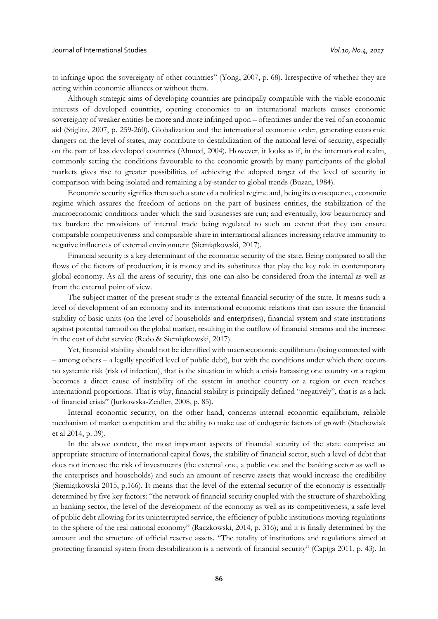to infringe upon the sovereignty of other countries" (Yong, 2007, p. 68). Irrespective of whether they are acting within economic alliances or without them.

Although strategic aims of developing countries are principally compatible with the viable economic interests of developed countries, opening economies to an international markets causes economic sovereignty of weaker entities be more and more infringed upon – oftentimes under the veil of an economic aid (Stiglitz, 2007, p. 259-260). Globalization and the international economic order, generating economic dangers on the level of states, may contribute to destabilization of the national level of security, especially on the part of less developed countries (Ahmed, 2004). However, it looks as if, in the international realm, commonly setting the conditions favourable to the economic growth by many participants of the global markets gives rise to greater possibilities of achieving the adopted target of the level of security in comparison with being isolated and remaining a by-stander to global trends (Buzan, 1984).

Economic security signifies then such a state of a political regime and, being its consequence, economic regime which assures the freedom of actions on the part of business entities, the stabilization of the macroeconomic conditions under which the said businesses are run; and eventually, low beaurocracy and tax burden; the provisions of internal trade being regulated to such an extent that they can ensure comparable competitiveness and comparable share in international alliances increasing relative immunity to negative influences of external environment (Siemiątkowski, 2017).

Financial security is a key determinant of the economic security of the state. Being compared to all the flows of the factors of production, it is money and its substitutes that play the key role in contemporary global economy. As all the areas of security, this one can also be considered from the internal as well as from the external point of view.

The subject matter of the present study is the external financial security of the state. It means such a level of development of an economy and its international economic relations that can assure the financial stability of basic units (on the level of households and enterprises), financial system and state institutions against potential turmoil on the global market, resulting in the outflow of financial streams and the increase in the cost of debt service (Redo & Siemiątkowski, 2017).

Yet, financial stability should not be identified with macroeconomic equilibrium (being connected with – among others – a legally specified level of public debt), but with the conditions under which there occurs no systemic risk (risk of infection), that is the situation in which a crisis harassing one country or a region becomes a direct cause of instability of the system in another country or a region or even reaches international proportions. That is why, financial stability is principally defined "negatively", that is as a lack of financial crisis" (Jurkowska-Zeidler, 2008, p. 85).

Internal economic security, on the other hand, concerns internal economic equilibrium, reliable mechanism of market competition and the ability to make use of endogenic factors of growth (Stachowiak et al 2014, p. 39).

In the above context, the most important aspects of financial security of the state comprise: an appropriate structure of international capital flows, the stability of financial sector, such a level of debt that does not increase the risk of investments (the external one, a public one and the banking sector as well as the enterprises and households) and such an amount of reserve assets that would increase the credibility (Siemiątkowski 2015, p.166). It means that the level of the external security of the economy is essentially determined by five key factors: "the network of financial security coupled with the structure of shareholding in banking sector, the level of the development of the economy as well as its competitiveness, a safe level of public debt allowing for its uninterrupted service, the efficiency of public institutions moving regulations to the sphere of the real national economy" (Raczkowski, 2014, p. 316); and it is finally determined by the amount and the structure of official reserve assets. "The totality of institutions and regulations aimed at protecting financial system from destabilization is a network of financial security" (Capiga 2011, p. 43). In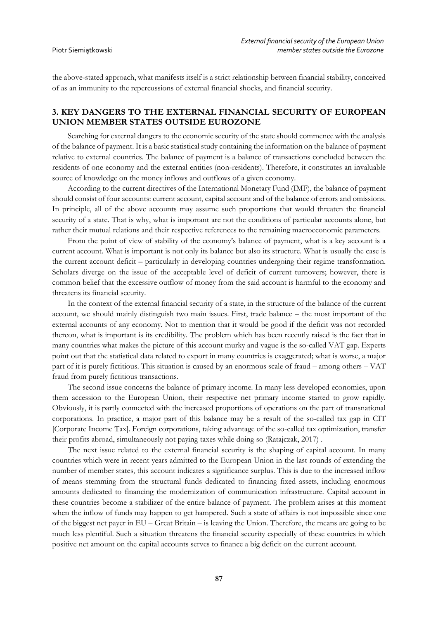the above-stated approach, what manifests itself is a strict relationship between financial stability, conceived of as an immunity to the repercussions of external financial shocks, and financial security.

# **3. KEY DANGERS TO THE EXTERNAL FINANCIAL SECURITY OF EUROPEAN UNION MEMBER STATES OUTSIDE EUROZONE**

Searching for external dangers to the economic security of the state should commence with the analysis of the balance of payment. It is a basic statistical study containing the information on the balance of payment relative to external countries. The balance of payment is a balance of transactions concluded between the residents of one economy and the external entities (non-residents). Therefore, it constitutes an invaluable source of knowledge on the money inflows and outflows of a given economy.

According to the current directives of the International Monetary Fund (IMF), the balance of payment should consist of four accounts: current account, capital account and of the balance of errors and omissions. In principle, all of the above accounts may assume such proportions that would threaten the financial security of a state. That is why, what is important are not the conditions of particular accounts alone, but rather their mutual relations and their respective references to the remaining macroeconomic parameters.

From the point of view of stability of the economy's balance of payment, what is a key account is a current account. What is important is not only its balance but also its structure. What is usually the case is the current account deficit – particularly in developing countries undergoing their regime transformation. Scholars diverge on the issue of the acceptable level of deficit of current turnovers; however, there is common belief that the excessive outflow of money from the said account is harmful to the economy and threatens its financial security.

In the context of the external financial security of a state, in the structure of the balance of the current account, we should mainly distinguish two main issues. First, trade balance – the most important of the external accounts of any economy. Not to mention that it would be good if the deficit was not recorded thereon, what is important is its credibility. The problem which has been recently raised is the fact that in many countries what makes the picture of this account murky and vague is the so-called VAT gap. Experts point out that the statistical data related to export in many countries is exaggerated; what is worse, a major part of it is purely fictitious. This situation is caused by an enormous scale of fraud – among others – VAT fraud from purely fictitious transactions.

The second issue concerns the balance of primary income. In many less developed economies, upon them accession to the European Union, their respective net primary income started to grow rapidly. Obviously, it is partly connected with the increased proportions of operations on the part of transnational corporations. In practice, a major part of this balance may be a result of the so-called tax gap in CIT [Corporate Income Tax]. Foreign corporations, taking advantage of the so-called tax optimization, transfer their profits abroad, simultaneously not paying taxes while doing so (Ratajczak, 2017) .

The next issue related to the external financial security is the shaping of capital account. In many countries which were in recent years admitted to the European Union in the last rounds of extending the number of member states, this account indicates a significance surplus. This is due to the increased inflow of means stemming from the structural funds dedicated to financing fixed assets, including enormous amounts dedicated to financing the modernization of communication infrastructure. Capital account in these countries become a stabilizer of the entire balance of payment. The problem arises at this moment when the inflow of funds may happen to get hampered. Such a state of affairs is not impossible since one of the biggest net payer in EU – Great Britain – is leaving the Union. Therefore, the means are going to be much less plentiful. Such a situation threatens the financial security especially of these countries in which positive net amount on the capital accounts serves to finance a big deficit on the current account.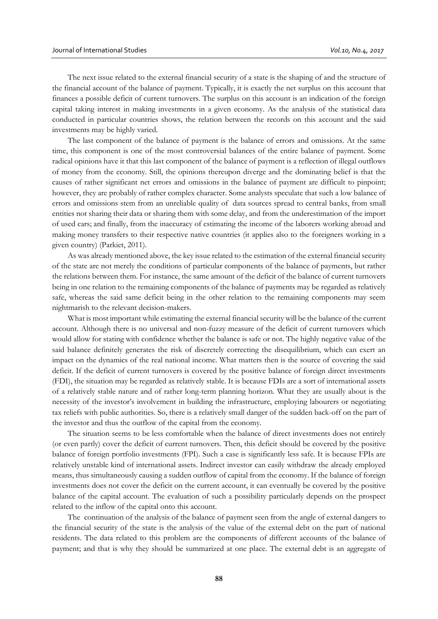The next issue related to the external financial security of a state is the shaping of and the structure of the financial account of the balance of payment. Typically, it is exactly the net surplus on this account that finances a possible deficit of current turnovers. The surplus on this account is an indication of the foreign capital taking interest in making investments in a given economy. As the analysis of the statistical data conducted in particular countries shows, the relation between the records on this account and the said investments may be highly varied.

The last component of the balance of payment is the balance of errors and omissions. At the same time, this component is one of the most controversial balances of the entire balance of payment. Some radical opinions have it that this last component of the balance of payment is a reflection of illegal outflows of money from the economy. Still, the opinions thereupon diverge and the dominating belief is that the causes of rather significant net errors and omissions in the balance of payment are difficult to pinpoint; however, they are probably of rather complex character. Some analysts speculate that such a low balance of errors and omissions stem from an unreliable quality of data sources spread to central banks, from small entities not sharing their data or sharing them with some delay, and from the underestimation of the import of used cars; and finally, from the inaccuracy of estimating the income of the laborers working abroad and making money transfers to their respective native countries (it applies also to the foreigners working in a given country) (Parkiet, 2011).

As was already mentioned above, the key issue related to the estimation of the external financial security of the state are not merely the conditions of particular components of the balance of payments, but rather the relations between them. For instance, the same amount of the deficit of the balance of current turnovers being in one relation to the remaining components of the balance of payments may be regarded as relatively safe, whereas the said same deficit being in the other relation to the remaining components may seem nightmarish to the relevant decision-makers.

What is most important while estimating the external financial security will be the balance of the current account. Although there is no universal and non-fuzzy measure of the deficit of current turnovers which would allow for stating with confidence whether the balance is safe or not. The highly negative value of the said balance definitely generates the risk of discretely correcting the disequilibrium, which can exert an impact on the dynamics of the real national income. What matters then is the source of covering the said deficit. If the deficit of current turnovers is covered by the positive balance of foreign direct investments (FDI), the situation may be regarded as relatively stable. It is because FDIs are a sort of international assets of a relatively stable nature and of rather long-term planning horizon. What they are usually about is the necessity of the investor's involvement in building the infrastructure, employing labourers or negotiating tax reliefs with public authorities. So, there is a relatively small danger of the sudden back-off on the part of the investor and thus the outflow of the capital from the economy.

The situation seems to be less comfortable when the balance of direct investments does not entirely (or even partly) cover the deficit of current turnovers. Then, this deficit should be covered by the positive balance of foreign portfolio investments (FPI). Such a case is significantly less safe. It is because FPIs are relatively unstable kind of international assets. Indirect investor can easily withdraw the already employed means, thus simultaneously causing a sudden outflow of capital from the economy. If the balance of foreign investments does not cover the deficit on the current account, it can eventually be covered by the positive balance of the capital account. The evaluation of such a possibility particularly depends on the prospect related to the inflow of the capital onto this account.

The continuation of the analysis of the balance of payment seen from the angle of external dangers to the financial security of the state is the analysis of the value of the external debt on the part of national residents. The data related to this problem are the components of different accounts of the balance of payment; and that is why they should be summarized at one place. The external debt is an aggregate of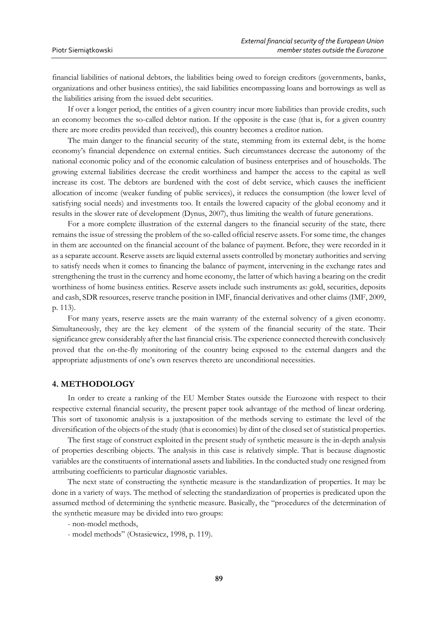financial liabilities of national debtors, the liabilities being owed to foreign creditors (governments, banks, organizations and other business entities), the said liabilities encompassing loans and borrowings as well as the liabilities arising from the issued debt securities.

If over a longer period, the entities of a given country incur more liabilities than provide credits, such an economy becomes the so-called debtor nation. If the opposite is the case (that is, for a given country there are more credits provided than received), this country becomes a creditor nation.

The main danger to the financial security of the state, stemming from its external debt, is the home economy's financial dependence on external entities. Such circumstances decrease the autonomy of the national economic policy and of the economic calculation of business enterprises and of households. The growing external liabilities decrease the credit worthiness and hamper the access to the capital as well increase its cost. The debtors are burdened with the cost of debt service, which causes the inefficient allocation of income (weaker funding of public services), it reduces the consumption (the lower level of satisfying social needs) and investments too. It entails the lowered capacity of the global economy and it results in the slower rate of development (Dynus, 2007), thus limiting the wealth of future generations.

For a more complete illustration of the external dangers to the financial security of the state, there remains the issue of stressing the problem of the so-called official reserve assets. For some time, the changes in them are accounted on the financial account of the balance of payment. Before, they were recorded in it as a separate account. Reserve assets are liquid external assets controlled by monetary authorities and serving to satisfy needs when it comes to financing the balance of payment, intervening in the exchange rates and strengthening the trust in the currency and home economy, the latter of which having a bearing on the credit worthiness of home business entities. Reserve assets include such instruments as: gold, securities, deposits and cash, SDR resources, reserve tranche position in IMF, financial derivatives and other claims (IMF, 2009, p. 113).

For many years, reserve assets are the main warranty of the external solvency of a given economy. Simultaneously, they are the key element of the system of the financial security of the state. Their significance grew considerably after the last financial crisis. The experience connected therewith conclusively proved that the on-the-fly monitoring of the country being exposed to the external dangers and the appropriate adjustments of one's own reserves thereto are unconditional necessities.

#### **4. METHODOLOGY**

In order to create a ranking of the EU Member States outside the Eurozone with respect to their respective external financial security, the present paper took advantage of the method of linear ordering. This sort of taxonomic analysis is a juxtaposition of the methods serving to estimate the level of the diversification of the objects of the study (that is economies) by dint of the closed set of statistical properties.

The first stage of construct exploited in the present study of synthetic measure is the in-depth analysis of properties describing objects. The analysis in this case is relatively simple. That is because diagnostic variables are the constituents of international assets and liabilities. In the conducted study one resigned from attributing coefficients to particular diagnostic variables.

The next state of constructing the synthetic measure is the standardization of properties. It may be done in a variety of ways. The method of selecting the standardization of properties is predicated upon the assumed method of determining the synthetic measure. Basically, the "procedures of the determination of the synthetic measure may be divided into two groups:

- non-model methods,

- model methods" (Ostasiewicz, 1998, p. 119).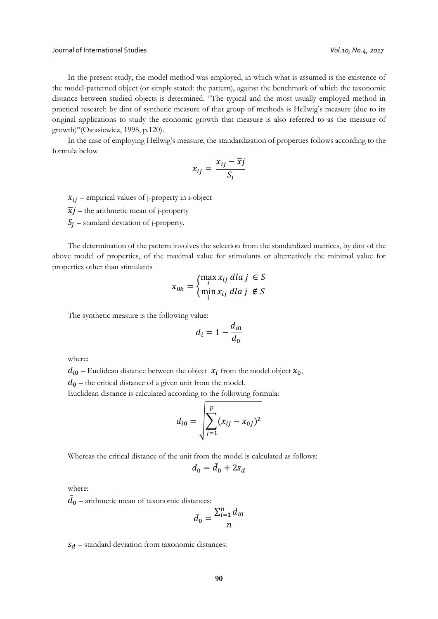In the present study, the model method was employed, in which what is assumed is the existence of the model-patterned object (or simply stated: the pattern), against the benchmark of which the taxonomic distance between studied objects is determined. "The typical and the most usually employed method in practical research by dint of synthetic measure of that group of methods is Hellwig's measure (due to its original applications to study the economic growth that measure is also referred to as the measure of growth)"(Ostasiewicz, 1998, p.120).

In the case of employing Hellwig's measure, the standardization of properties follows according to the formula below

$$
x_{ij} = \frac{x_{ij} - \overline{x}j}{S_j}
$$

 $x_{ij}$  – empirical values of j-property in i-object

 $\overline{x}$ *j* – the arithmetic mean of j-property

 $S_i$  – standard deviation of j-property.

The determination of the pattern involves the selection from the standardized matrices, by dint of the above model of properties, of the maximal value for stimulants or alternatively the minimal value for properties other than stimulants

$$
x_{0k} = \begin{cases} \max_i x_{ij} \, dla \, j \in S \\ \min_i x_{ij} \, dla \, j \notin S \end{cases}
$$

The synthetic measure is the following value:

$$
d_i = 1 - \frac{d_{i0}}{d_0}
$$

where:

 $d_{i0}$  – Euclidean distance between the object  $x_i$  from the model object  $x_0$ ,

 $d_0$  – the critical distance of a given unit from the model.

Euclidean distance is calculated according to the following formula:

$$
d_{i0} = \sqrt{\sum_{j=1}^{p} (x_{ij} - x_{0j})^2}
$$

Whereas the critical distance of the unit from the model is calculated as follows:

$$
d_0 = \bar{d}_0 + 2s_d
$$

where:

 $\bar{d}_0$  – arithmetic mean of taxonomic distances:

$$
\bar{d}_0 = \frac{\sum_{i=1}^n d_{i0}}{n}
$$

 $S_d$  – standard deviation from taxonomic distances: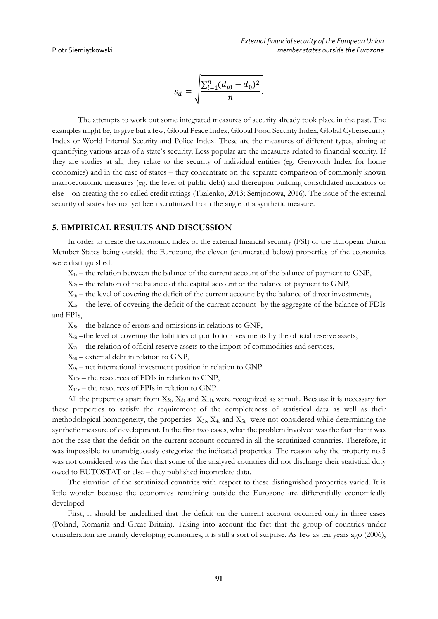$$
s_d = \sqrt{\frac{\sum_{i=1}^n (d_{i0} - \bar{d}_0)^2}{n}}.
$$

The attempts to work out some integrated measures of security already took place in the past. The examples might be, to give but a few, Global Peace Index, Global Food Security Index, Global Cybersecurity Index or World Internal Security and Police Index. These are the measures of different types, aiming at quantifying various areas of a state's security. Less popular are the measures related to financial security. If they are studies at all, they relate to the security of individual entities (eg. Genworth Index for home economies) and in the case of states – they concentrate on the separate comparison of commonly known macroeconomic measures (eg. the level of public debt) and thereupon building consolidated indicators or else – on creating the so-called credit ratings (Tkalenko, 2013; Semjonowa, 2016). The issue of the external security of states has not yet been scrutinized from the angle of a synthetic measure.

## **5. EMPIRICAL RESULTS AND DISCUSSION**

In order to create the taxonomic index of the external financial security (FSI) of the European Union Member States being outside the Eurozone, the eleven (enumerated below) properties of the economies were distinguished:

 $X_{1t}$  – the relation between the balance of the current account of the balance of payment to GNP,

 $X_{2t}$  – the relation of the balance of the capital account of the balance of payment to GNP,

 $X_{3t}$  – the level of covering the deficit of the current account by the balance of direct investments,

 $X_{4t}$  – the level of covering the deficit of the current account by the aggregate of the balance of FDIs and FPIs,

 $X_{5t}$  – the balance of errors and omissions in relations to GNP,

 $X_{6t}$  –the level of covering the liabilities of portfolio investments by the official reserve assets,

 $X_{7t}$  – the relation of official reserve assets to the import of commodities and services,

 $X_{8t}$  – external debt in relation to GNP,

 $X_{9t}$  – net international investment position in relation to GNP

 $X_{10t}$  – the resources of FDIs in relation to GNP,

 $X_{11t}$  – the resources of FPIs in relation to GNP.

All the properties apart from  $X_{5t}$ ,  $X_{8t}$  and  $X_{11t}$ , were recognized as stimuli. Because it is necessary for these properties to satisfy the requirement of the completeness of statistical data as well as their methodological homogeneity, the properties  $X_{3t}$ ,  $X_{4t}$  and  $X_{5t}$ , were not considered while determining the synthetic measure of development. In the first two cases, what the problem involved was the fact that it was not the case that the deficit on the current account occurred in all the scrutinized countries. Therefore, it was impossible to unambiguously categorize the indicated properties. The reason why the property no.5 was not considered was the fact that some of the analyzed countries did not discharge their statistical duty owed to EUTOSTAT or else – they published incomplete data.

The situation of the scrutinized countries with respect to these distinguished properties varied. It is little wonder because the economies remaining outside the Eurozone are differentially economically developed

First, it should be underlined that the deficit on the current account occurred only in three cases (Poland, Romania and Great Britain). Taking into account the fact that the group of countries under consideration are mainly developing economies, it is still a sort of surprise. As few as ten years ago (2006),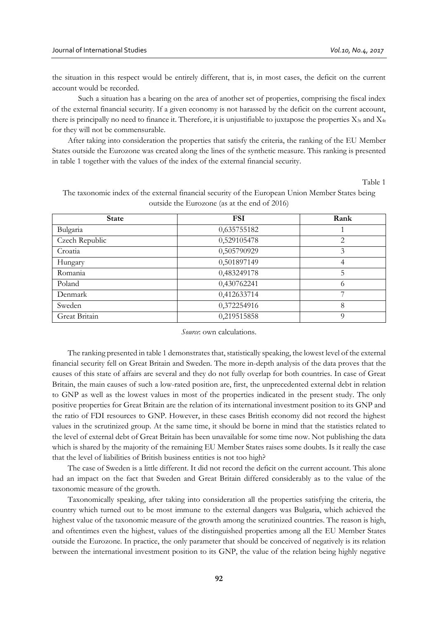the situation in this respect would be entirely different, that is, in most cases, the deficit on the current account would be recorded.

Such a situation has a bearing on the area of another set of properties, comprising the fiscal index of the external financial security. If a given economy is not harassed by the deficit on the current account, there is principally no need to finance it. Therefore, it is unjustifiable to juxtapose the properties  $X_{3t}$  and  $X_{4t}$ for they will not be commensurable.

After taking into consideration the properties that satisfy the criteria, the ranking of the EU Member States outside the Eurozone was created along the lines of the synthetic measure. This ranking is presented in table 1 together with the values of the index of the external financial security.

Table 1

| <b>State</b>   | <b>FSI</b>  | Rank |
|----------------|-------------|------|
| Bulgaria       | 0,635755182 |      |
| Czech Republic | 0,529105478 | 2    |
| Croatia        | 0,505790929 | 3    |
| Hungary        | 0,501897149 | 4    |
| Romania        | 0,483249178 | 5    |
| Poland         | 0,430762241 | 6    |
| Denmark        | 0,412633714 | ⇁    |
| Sweden         | 0,372254916 | 8    |
| Great Britain  | 0,219515858 | Q    |

The taxonomic index of the external financial security of the European Union Member States being outside the Eurozone (as at the end of 2016)

#### *Source*: own calculations.

The ranking presented in table 1 demonstrates that, statistically speaking, the lowest level of the external financial security fell on Great Britain and Sweden. The more in-depth analysis of the data proves that the causes of this state of affairs are several and they do not fully overlap for both countries. In case of Great Britain, the main causes of such a low-rated position are, first, the unprecedented external debt in relation to GNP as well as the lowest values in most of the properties indicated in the present study. The only positive properties for Great Britain are the relation of its international investment position to its GNP and the ratio of FDI resources to GNP. However, in these cases British economy did not record the highest values in the scrutinized group. At the same time, it should be borne in mind that the statistics related to the level of external debt of Great Britain has been unavailable for some time now. Not publishing the data which is shared by the majority of the remaining EU Member States raises some doubts. Is it really the case that the level of liabilities of British business entities is not too high?

The case of Sweden is a little different. It did not record the deficit on the current account. This alone had an impact on the fact that Sweden and Great Britain differed considerably as to the value of the taxonomic measure of the growth.

Taxonomically speaking, after taking into consideration all the properties satisfying the criteria, the country which turned out to be most immune to the external dangers was Bulgaria, which achieved the highest value of the taxonomic measure of the growth among the scrutinized countries. The reason is high, and oftentimes even the highest, values of the distinguished properties among all the EU Member States outside the Eurozone. In practice, the only parameter that should be conceived of negatively is its relation between the international investment position to its GNP, the value of the relation being highly negative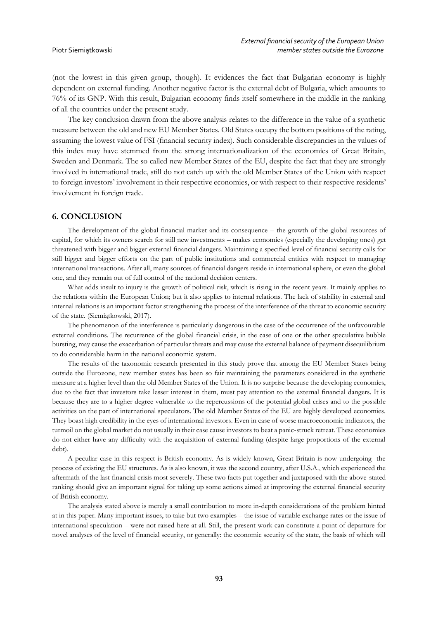(not the lowest in this given group, though). It evidences the fact that Bulgarian economy is highly dependent on external funding. Another negative factor is the external debt of Bulgaria, which amounts to 76% of its GNP. With this result, Bulgarian economy finds itself somewhere in the middle in the ranking of all the countries under the present study.

The key conclusion drawn from the above analysis relates to the difference in the value of a synthetic measure between the old and new EU Member States. Old States occupy the bottom positions of the rating, assuming the lowest value of FSI (financial security index). Such considerable discrepancies in the values of this index may have stemmed from the strong internationalization of the economies of Great Britain, Sweden and Denmark. The so called new Member States of the EU, despite the fact that they are strongly involved in international trade, still do not catch up with the old Member States of the Union with respect to foreign investors' involvement in their respective economies, or with respect to their respective residents' involvement in foreign trade.

#### **6. CONCLUSION**

The development of the global financial market and its consequence – the growth of the global resources of capital, for which its owners search for still new investments – makes economies (especially the developing ones) get threatened with bigger and bigger external financial dangers. Maintaining a specified level of financial security calls for still bigger and bigger efforts on the part of public institutions and commercial entities with respect to managing international transactions. After all, many sources of financial dangers reside in international sphere, or even the global one, and they remain out of full control of the national decision centers.

What adds insult to injury is the growth of political risk, which is rising in the recent years. It mainly applies to the relations within the European Union; but it also applies to internal relations. The lack of stability in external and internal relations is an important factor strengthening the process of the interference of the threat to economic security of the state. (Siemiątkowski, 2017).

The phenomenon of the interference is particularly dangerous in the case of the occurrence of the unfavourable external conditions. The recurrence of the global financial crisis, in the case of one or the other speculative bubble bursting, may cause the exacerbation of particular threats and may cause the external balance of payment disequilibrium to do considerable harm in the national economic system.

The results of the taxonomic research presented in this study prove that among the EU Member States being outside the Eurozone, new member states has been so fair maintaining the parameters considered in the synthetic measure at a higher level than the old Member States of the Union. It is no surprise because the developing economies, due to the fact that investors take lesser interest in them, must pay attention to the external financial dangers. It is because they are to a higher degree vulnerable to the repercussions of the potential global crises and to the possible activities on the part of international speculators. The old Member States of the EU are highly developed economies. They boast high credibility in the eyes of international investors. Even in case of worse macroeconomic indicators, the turmoil on the global market do not usually in their case cause investors to beat a panic-struck retreat. These economies do not either have any difficulty with the acquisition of external funding (despite large proportions of the external debt).

A peculiar case in this respect is British economy. As is widely known, Great Britain is now undergoing the process of existing the EU structures. As is also known, it was the second country, after U.S.A., which experienced the aftermath of the last financial crisis most severely. These two facts put together and juxtaposed with the above-stated ranking should give an important signal for taking up some actions aimed at improving the external financial security of British economy.

The analysis stated above is merely a small contribution to more in-depth considerations of the problem hinted at in this paper. Many important issues, to take but two examples – the issue of variable exchange rates or the issue of international speculation – were not raised here at all. Still, the present work can constitute a point of departure for novel analyses of the level of financial security, or generally: the economic security of the state, the basis of which will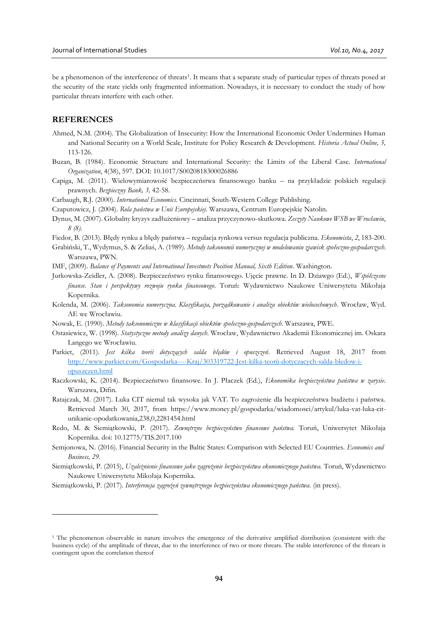be a phenomenon of the interference of threats<sup>1</sup>. It means that a separate study of particular types of threats posed at the security of the state yields only fragmented information. Nowadays, it is necessary to conduct the study of how particular threats interfere with each other.

### **REFERENCES**

 $\overline{a}$ 

- Ahmed, N.M. (2004). The Globalization of Insecurity: How the International Economic Order Undermines Human and National Security on a World Scale, Institute for Policy Research & Development. *Historia Actual Online, 5,*  113-126.
- Buzan, B. (1984). Economic Structure and International Security: the Limits of the Liberal Case. *International Organization*, 4(38), 597. DOI: 10.1017/S0020818300026886
- Capiga, M. (2011). Wielowymiarowość bezpieczeństwa finansowego banku na przykładzie polskich regulacji prawnych. *Bezpieczny Bank, 3,* 42-58.
- Carbaugh, R.J. (2000). *International Economics*. Cincinnati, South-Western College Publishing.

Czaputowicz, J. (2004). *Rola państwa w Unii Europejskiej*. Warszawa, Centrum Europejskie Natolin.

- Dynus, M. (2007). Globalny kryzys zadłużeniowy analiza przyczynowo-skutkowa. *Zeszyty Naukowe WSB we Wrocławiu*, *8 (8)*.
- Fiedor, B. (2013). Błędy rynku a błędy państwa regulacja rynkowa versus regulacja publiczna. *Ekonomista*, *2*, 183-200.
- Grabiński, T., Wydymus, S. & Zeliaś, A. (1989). *Metody taksonomii numerycznej w modelowaniu zjawisk społeczno-gospodarczych*. Warszawa, PWN.

IMF, (2009). *Balance of Payments and International Investmets Position Manual, Sixth Edition*. Washington.

- Jurkowska-Zeidler, A. (2008). Bezpieczeństwo rynku finansowego. Ujęcie prawne. In D. Dziawgo (Ed.), *Współczesne finanse. Stan i perspektywy rozwoju rynku finansowego*. Toruń: Wydawnictwo Naukowe Uniwersytetu Mikołaja Kopernika.
- Kolenda, M. (2006). *Taksonomia numeryczna. Klasyfikacja, porządkowanie i analiza obiektów wielocechowych*. Wrocław, Wyd. AE we Wrocławiu.
- Nowak, E. (1990). *Metody taksonomiczne w klasyfikacji obiektów społeczno-gospodarczych*. Warszawa, PWE.
- Ostasiewicz, W. (1998). *Statystyczne metody analizy danych*. Wrocław, Wydawnictwo Akademii Ekonomicznej im. Oskara Langego we Wrocławiu.
- Parkiet, (2011). *Jest kilka teorii dotyczących salda błędów i opuszczeń*. Retrieved August 18, 2017 from [http://www.parkiet.com/Gospodarka----Kraj/303319722-Jest-kilka-teorii-dotyczacych-salda-bledow-i](http://www.parkiet.com/Gospodarka----Kraj/303319722-Jest-kilka-teorii-dotyczacych-salda-bledow-i-opuszczen.html)[opuszczen.html](http://www.parkiet.com/Gospodarka----Kraj/303319722-Jest-kilka-teorii-dotyczacych-salda-bledow-i-opuszczen.html)
- Raczkowski, K. (2014). Bezpieczeństwo finansowe. In J. Płaczek (Ed.), *Ekonomika bezpieczeństwa państwa w zarysie*. Warszawa, Difin.
- Ratajczak, M. (2017). Luka CIT niemal tak wysoka jak VAT. To zagrożenie dla bezpieczeństwa budżetu i państwa. Retrieved March 30, 2017, from https://www.money.pl/gospodarka/wiadomosci/artykul/luka-vat-luka-citunikanie-opodatkowania,238,0,2281454.html
- Redo, M. & Siemiątkowski, P. (2017). *Zewnętrzne bezpieczeństwo finansowe państwa.* Toruń, Uniwersytet Mikołaja Kopernika. doi: 10.12775/TIS.2017.100
- Semjonowa, N. (2016). Financial Security in the Baltic States: Comparison with Selected EU Countries. *Economics and Business, 29.*
- Siemiątkowski, P. (2015), *Uzależnienie finansowe jako zagrożenie bezpieczeństwa ekonomicznego państwa.* Toruń, Wydawnictwo Naukowe Uniwersytetu Mikołaja Kopernika.

Siemiątkowski, P. (2017). *Interferencja zagrożeń zewnętrznego bezpieczeństwa ekonomicznego państwa.* (in press).

<sup>&</sup>lt;sup>1</sup> The phenomenon observable in nature involves the emergence of the derivative amplified distribution (consistent with the business cycle) of the amplitude of threat, due to the interference of two or more threats. The stable interference of the threats is contingent upon the correlation thereof